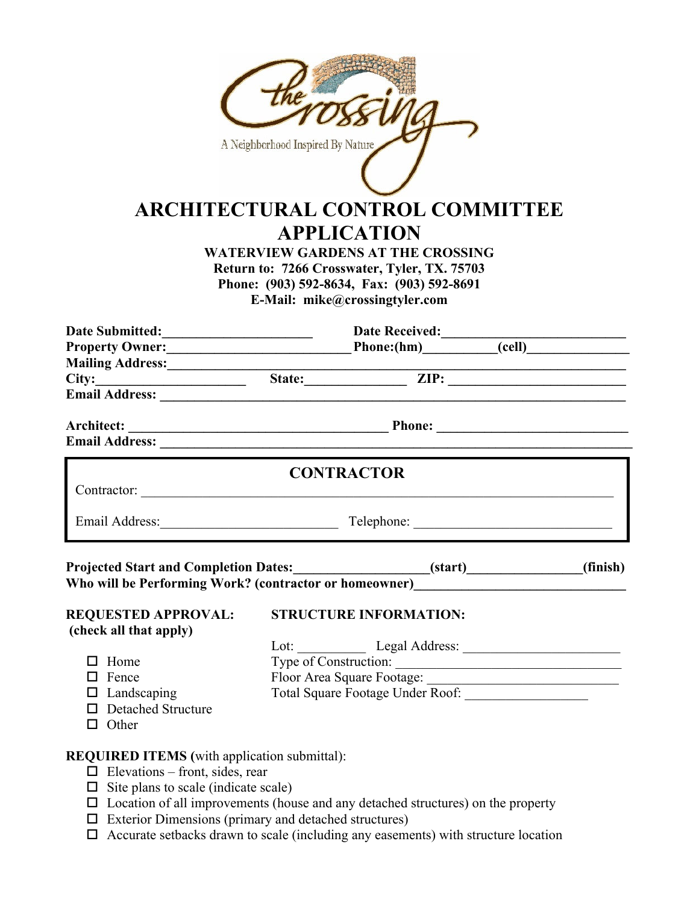| A Neighborhood Inspired By Nature<br><b>ARCHITECTURAL CONTROL COMMITTEE</b><br><b>APPLICATION</b><br><b>WATERVIEW GARDENS AT THE CROSSING</b><br>Return to: 7266 Crosswater, Tyler, TX. 75703<br>Phone: (903) 592-8634, Fax: (903) 592-8691<br>E-Mail: mike@crossingtyler.com |  |                               |  |          |  |
|-------------------------------------------------------------------------------------------------------------------------------------------------------------------------------------------------------------------------------------------------------------------------------|--|-------------------------------|--|----------|--|
|                                                                                                                                                                                                                                                                               |  |                               |  |          |  |
| Date Submitted: Date Received: Date Received: Call Date Submitted: Call Date Received: Call Date Received: Call D<br>Property Owner: Phone: Phone: (hm) (cell )                                                                                                               |  |                               |  |          |  |
|                                                                                                                                                                                                                                                                               |  |                               |  |          |  |
| Mailing Address: State: The City: The City: The City: The City: The City: The City: The City: The City: The City: The City: The City: The City: The City: The City: The City: The City: The City: The City: The City: The City                                                |  |                               |  |          |  |
| Email Address: National Address: National Address: National Address: National Address: National Address: National Address: National Address: National Address: National Address: National Address: National Address: National                                                 |  |                               |  |          |  |
|                                                                                                                                                                                                                                                                               |  |                               |  |          |  |
|                                                                                                                                                                                                                                                                               |  | <b>CONTRACTOR</b>             |  |          |  |
| Email Address: Telephone: Telephone: Telephone: 2008.                                                                                                                                                                                                                         |  |                               |  |          |  |
| Projected Start and Completion Dates:________________________(start)____________<br>Who will be Performing Work? (contractor or homeowner)__________________________                                                                                                          |  |                               |  | (finish) |  |
| <b>REQUESTED APPROVAL:</b>                                                                                                                                                                                                                                                    |  | <b>STRUCTURE INFORMATION:</b> |  |          |  |
| (check all that apply)                                                                                                                                                                                                                                                        |  |                               |  |          |  |
|                                                                                                                                                                                                                                                                               |  |                               |  |          |  |
| $\Box$ Home                                                                                                                                                                                                                                                                   |  | Type of Construction:         |  |          |  |
| $\Box$ Fence                                                                                                                                                                                                                                                                  |  |                               |  |          |  |
| $\Box$ Landscaping                                                                                                                                                                                                                                                            |  |                               |  |          |  |
| □ Detached Structure                                                                                                                                                                                                                                                          |  |                               |  |          |  |
| $\Box$ Other                                                                                                                                                                                                                                                                  |  |                               |  |          |  |
| <b>REQUIRED ITEMS</b> (with application submittal):                                                                                                                                                                                                                           |  |                               |  |          |  |
| $\Box$ Elevations – front, sides, rear                                                                                                                                                                                                                                        |  |                               |  |          |  |
| $\Box$ Site plans to scale (indicate scale)                                                                                                                                                                                                                                   |  |                               |  |          |  |

- $\Box$  Location of all improvements (house and any detached structures) on the property
- $\Box$  Exterior Dimensions (primary and detached structures)
- $\Box$  Accurate setbacks drawn to scale (including any easements) with structure location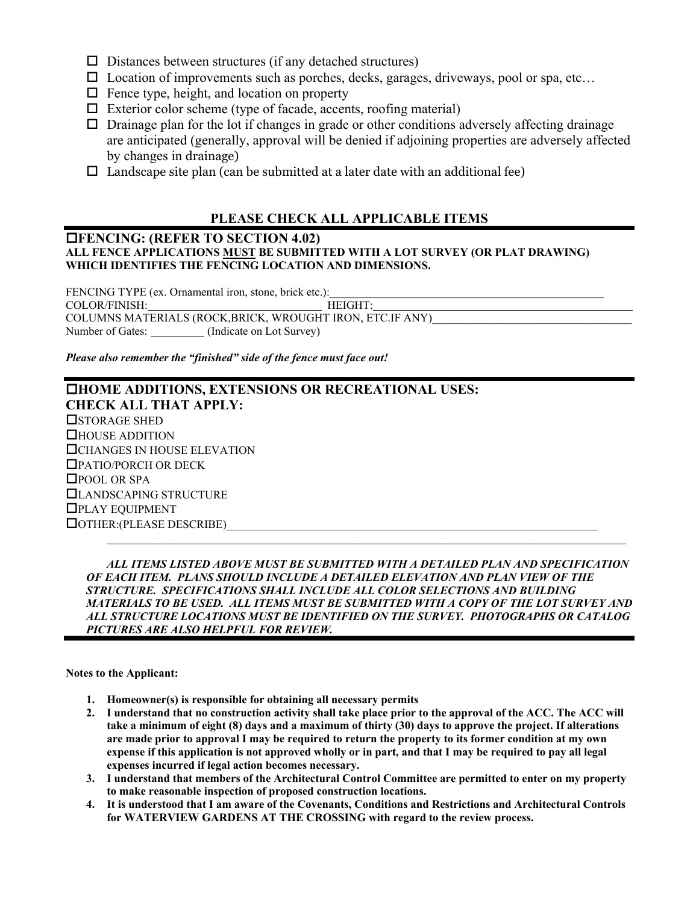- $\square$  Distances between structures (if any detached structures)
- $\square$  Location of improvements such as porches, decks, garages, driveways, pool or spa, etc...
- $\Box$  Fence type, height, and location on property
- $\Box$  Exterior color scheme (type of facade, accents, roofing material)
- $\Box$  Drainage plan for the lot if changes in grade or other conditions adversely affecting drainage are anticipated (generally, approval will be denied if adjoining properties are adversely affected by changes in drainage)
- $\Box$  Landscape site plan (can be submitted at a later date with an additional fee)

## **PLEASE CHECK ALL APPLICABLE ITEMS**

#### **FENCING: (REFER TO SECTION 4.02) ALL FENCE APPLICATIONS MUST BE SUBMITTED WITH A LOT SURVEY (OR PLAT DRAWING) WHICH IDENTIFIES THE FENCING LOCATION AND DIMENSIONS.**

FENCING TYPE (ex. Ornamental iron, stone, brick etc.): COLOR/FINISH: HEIGHT: COLUMNS MATERIALS (ROCK,BRICK, WROUGHT IRON, ETC.IF ANY) Number of Gates: \_\_\_\_\_\_\_\_\_ (Indicate on Lot Survey)

*Please also remember the "finished" side of the fence must face out!* 

## **HOME ADDITIONS, EXTENSIONS OR RECREATIONAL USES: CHECK ALL THAT APPLY: OSTORAGE SHED** HOUSE ADDITION **CHANGES IN HOUSE ELEVATION** PATIO/PORCH OR DECK □POOL OR SPA LANDSCAPING STRUCTURE PLAY EQUIPMENT  $\Box$  OTHER: (PLEASE DESCRIBE)

 *ALL ITEMS LISTED ABOVE MUST BE SUBMITTED WITH A DETAILED PLAN AND SPECIFICATION OF EACH ITEM. PLANS SHOULD INCLUDE A DETAILED ELEVATION AND PLAN VIEW OF THE STRUCTURE. SPECIFICATIONS SHALL INCLUDE ALL COLOR SELECTIONS AND BUILDING MATERIALS TO BE USED. ALL ITEMS MUST BE SUBMITTED WITH A COPY OF THE LOT SURVEY AND ALL STRUCTURE LOCATIONS MUST BE IDENTIFIED ON THE SURVEY. PHOTOGRAPHS OR CATALOG PICTURES ARE ALSO HELPFUL FOR REVIEW.* 

**Notes to the Applicant:** 

- **1. Homeowner(s) is responsible for obtaining all necessary permits**
- **2. I understand that no construction activity shall take place prior to the approval of the ACC. The ACC will take a minimum of eight (8) days and a maximum of thirty (30) days to approve the project. If alterations are made prior to approval I may be required to return the property to its former condition at my own expense if this application is not approved wholly or in part, and that I may be required to pay all legal expenses incurred if legal action becomes necessary.**
- **3. I understand that members of the Architectural Control Committee are permitted to enter on my property to make reasonable inspection of proposed construction locations.**
- **4. It is understood that I am aware of the Covenants, Conditions and Restrictions and Architectural Controls for WATERVIEW GARDENS AT THE CROSSING with regard to the review process.**